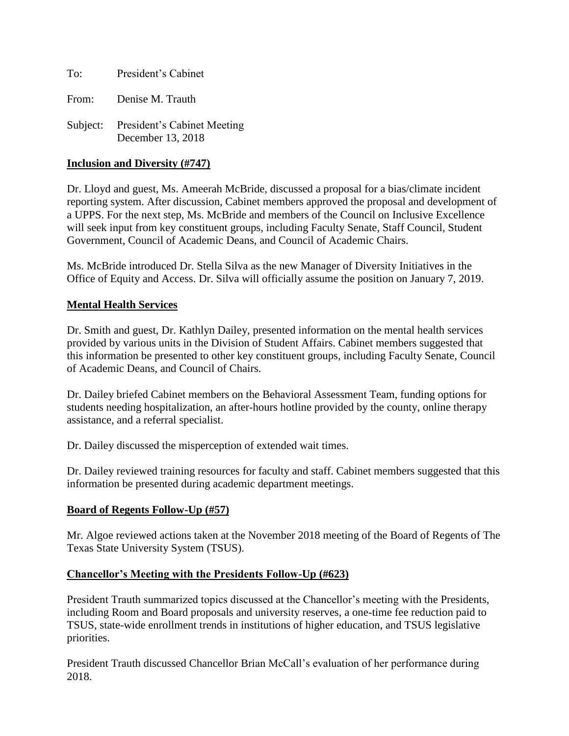To: President's Cabinet From: Denise M. Trauth

Subject: President's Cabinet Meeting December 13, 2018

## **Inclusion and Diversity (#747)**

Dr. Lloyd and guest, Ms. Ameerah McBride, discussed a proposal for a bias/climate incident reporting system. After discussion, Cabinet members approved the proposal and development of a UPPS. For the next step, Ms. McBride and members of the Council on Inclusive Excellence will seek input from key constituent groups, including Faculty Senate, Staff Council, Student Government, Council of Academic Deans, and Council of Academic Chairs.

Ms. McBride introduced Dr. Stella Silva as the new Manager of Diversity Initiatives in the Office of Equity and Access. Dr. Silva will officially assume the position on January 7, 2019.

## **Mental Health Services**

Dr. Smith and guest, Dr. Kathlyn Dailey, presented information on the mental health services provided by various units in the Division of Student Affairs. Cabinet members suggested that this information be presented to other key constituent groups, including Faculty Senate, Council of Academic Deans, and Council of Chairs.

Dr. Dailey briefed Cabinet members on the Behavioral Assessment Team, funding options for students needing hospitalization, an after-hours hotline provided by the county, online therapy assistance, and a referral specialist.

Dr. Dailey discussed the misperception of extended wait times.

Dr. Dailey reviewed training resources for faculty and staff. Cabinet members suggested that this information be presented during academic department meetings.

## **Board of Regents Follow-Up (#57)**

Mr. Algoe reviewed actions taken at the November 2018 meeting of the Board of Regents of The Texas State University System (TSUS).

## **Chancellor's Meeting with the Presidents Follow-Up (#623)**

President Trauth summarized topics discussed at the Chancellor's meeting with the Presidents, including Room and Board proposals and university reserves, a one-time fee reduction paid to TSUS, state-wide enrollment trends in institutions of higher education, and TSUS legislative priorities.

President Trauth discussed Chancellor Brian McCall's evaluation of her performance during 2018.